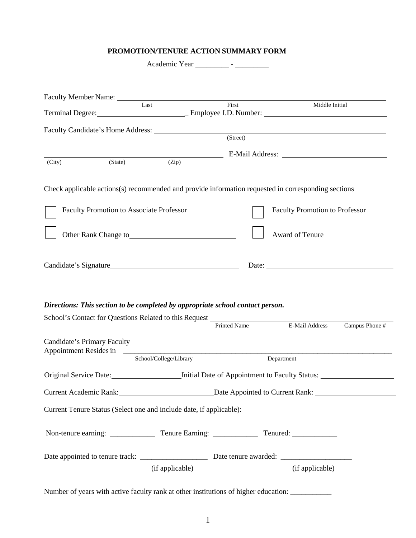## **PROMOTION/TENURE ACTION SUMMARY FORM**

|        | Last                                            |       | $\overline{First}$ | Middle Initial                                                                                      |
|--------|-------------------------------------------------|-------|--------------------|-----------------------------------------------------------------------------------------------------|
|        |                                                 |       |                    |                                                                                                     |
|        |                                                 |       | (Street)           |                                                                                                     |
| (City) | (State)                                         | (Zip) |                    |                                                                                                     |
|        |                                                 |       |                    | Check applicable actions(s) recommended and provide information requested in corresponding sections |
|        | <b>Faculty Promotion to Associate Professor</b> |       |                    | <b>Faculty Promotion to Professor</b>                                                               |
|        | Other Rank Change to <b>Exercise 2018</b>       |       |                    | Award of Tenure                                                                                     |
|        |                                                 |       |                    | Date:                                                                                               |

## *Directions: This section to be completed by appropriate school contact person.*

|                             | School's Contact for Questions Related to this Request<br><u>Example 2018</u> | <b>Printed Name</b> | E-Mail Address  | Campus Phone # |
|-----------------------------|-------------------------------------------------------------------------------|---------------------|-----------------|----------------|
| Candidate's Primary Faculty |                                                                               |                     |                 |                |
|                             | School/College/Library                                                        |                     | Department      |                |
|                             | Original Service Date: <i>Initial Date of Appointment to Faculty Status:</i>  |                     |                 |                |
|                             |                                                                               |                     |                 |                |
|                             | Current Tenure Status (Select one and include date, if applicable):           |                     |                 |                |
|                             |                                                                               |                     |                 |                |
|                             |                                                                               |                     |                 |                |
|                             | (if applicable)                                                               |                     | (if applicable) |                |

Number of years with active faculty rank at other institutions of higher education: \_\_\_\_\_\_\_\_\_\_\_\_\_\_\_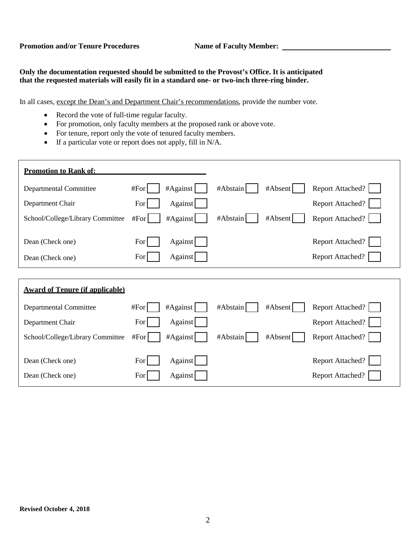## **Only the documentation requested should be submitted to the Provost's Office. It is anticipated that the requested materials will easily fit in a standard one- or two-inch three-ring binder.**

In all cases, except the Dean's and Department Chair's recommendations, provide the number vote.

- Record the vote of full-time regular faculty.
- For promotion, only faculty members at the proposed rank or above vote.
- For tenure, report only the vote of tenured faculty members.
- If a particular vote or report does not apply, fill in N/A.

| <b>Promotion to Rank of:</b>           |                     |                     |                         |  |  |
|----------------------------------------|---------------------|---------------------|-------------------------|--|--|
| Departmental Committee                 | $#Again$ st<br>#For | #Abstain<br>#Absent | Report Attached?        |  |  |
| Department Chair                       | Against<br>For      |                     | <b>Report Attached?</b> |  |  |
| School/College/Library Committee       | #Against<br>#For    | #Abstain<br>#Absent | <b>Report Attached?</b> |  |  |
|                                        |                     |                     |                         |  |  |
| Dean (Check one)                       | For<br>Against      |                     | <b>Report Attached?</b> |  |  |
| Dean (Check one)                       | Against<br>For      |                     | <b>Report Attached?</b> |  |  |
|                                        |                     |                     |                         |  |  |
| <b>Award of Tenure (if applicable)</b> |                     |                     |                         |  |  |

| <b>Departmental Committee</b>    | #For<br>#Again      | #Abstain<br>#Absent | Report Attached?        |
|----------------------------------|---------------------|---------------------|-------------------------|
| Department Chair                 | Against<br>For      |                     | <b>Report Attached?</b> |
| School/College/Library Committee | $#Again$ st<br>#For | #Abstain<br>#Absent | <b>Report Attached?</b> |
| Dean (Check one)                 | Against<br>For      |                     | <b>Report Attached?</b> |
| Dean (Check one)                 | Against<br>For      |                     | <b>Report Attached?</b> |